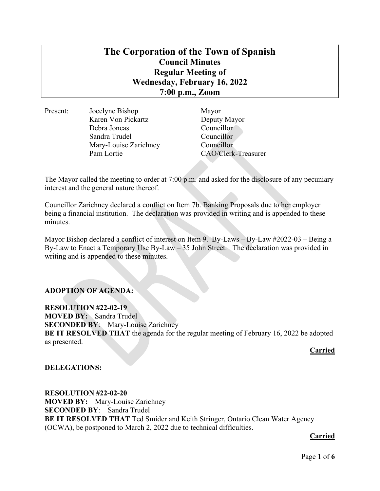# The Corporation of the Town of Spanish Council Minutes Regular Meeting of Wednesday, February 16, 2022 7:00 p.m., Zoom

Present: Jocelyne Bishop Mayor Karen Von Pickartz Deputy Mayor Debra Joncas Councillor Sandra Trudel Councillor Mary-Louise Zarichney Councillor Pam Lortie CAO/Clerk-Treasurer

The Mayor called the meeting to order at 7:00 p.m. and asked for the disclosure of any pecuniary interest and the general nature thereof.

Councillor Zarichney declared a conflict on Item 7b. Banking Proposals due to her employer being a financial institution. The declaration was provided in writing and is appended to these minutes.

Mayor Bishop declared a conflict of interest on Item 9. By-Laws – By-Law #2022-03 – Being a By-Law to Enact a Temporary Use By-Law – 35 John Street. The declaration was provided in writing and is appended to these minutes.

# ADOPTION OF AGENDA:

RESOLUTION #22-02-19 MOVED BY: Sandra Trudel SECONDED BY: Mary-Louise Zarichney BE IT RESOLVED THAT the agenda for the regular meeting of February 16, 2022 be adopted as presented.

#### Carried

DELEGATIONS:

RESOLUTION #22-02-20 MOVED BY: Mary-Louise Zarichney SECONDED BY: Sandra Trudel BE IT RESOLVED THAT Ted Smider and Keith Stringer, Ontario Clean Water Agency (OCWA), be postponed to March 2, 2022 due to technical difficulties.

**Carried** Carried Carried Carried Carried Carried Carried Carried Carried Carried Carried Carried Carried Carried Carried Carried Carried Carried Carried Carried Carried Carried Carried Carried Carried Carried Carried Carr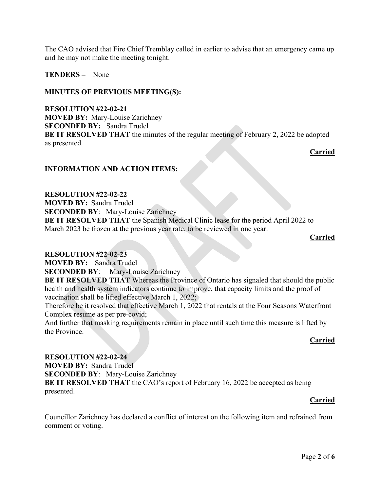The CAO advised that Fire Chief Tremblay called in earlier to advise that an emergency came up and he may not make the meeting tonight.

TENDERS – None

## MINUTES OF PREVIOUS MEETING(S):

RESOLUTION #22-02-21 MOVED BY: Mary-Louise Zarichney SECONDED BY: Sandra Trudel BE IT RESOLVED THAT the minutes of the regular meeting of February 2, 2022 be adopted as presented.

Carried

## INFORMATION AND ACTION ITEMS:

RESOLUTION #22-02-22 MOVED BY: Sandra Trudel SECONDED BY: Mary-Louise Zarichney BE IT RESOLVED THAT the Spanish Medical Clinic lease for the period April 2022 to March 2023 be frozen at the previous year rate, to be reviewed in one year.

**Carried** Carried Carried Carried Carried Carried Carried Carried Carried Carried Carried Carried Carried Carried Carried Carried Carried Carried Carried Carried Carried Carried Carried Carried Carried Carried Carried Carr

#### RESOLUTION #22-02-23

MOVED BY: Sandra Trudel

SECONDED BY: Mary-Louise Zarichney

BE IT RESOLVED THAT Whereas the Province of Ontario has signaled that should the public health and health system indicators continue to improve, that capacity limits and the proof of vaccination shall be lifted effective March 1, 2022;

Therefore be it resolved that effective March 1, 2022 that rentals at the Four Seasons Waterfront Complex resume as per pre-covid;

And further that masking requirements remain in place until such time this measure is lifted by the Province.

## **Carried** Carried Carried Carried Carried Carried Carried Carried Carried Carried Carried Carried Carried Carried Carried Carried Carried Carried Carried Carried Carried Carried Carried Carried Carried Carried Carried Carr

## RESOLUTION #22-02-24

MOVED BY: Sandra Trudel SECONDED BY: Mary-Louise Zarichney BE IT RESOLVED THAT the CAO's report of February 16, 2022 be accepted as being presented.

## **Carried**

Councillor Zarichney has declared a conflict of interest on the following item and refrained from comment or voting.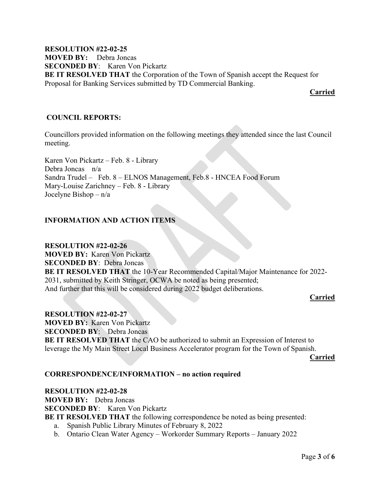RESOLUTION #22-02-25 MOVED BY: Debra Joncas SECONDED BY: Karen Von Pickartz BE IT RESOLVED THAT the Corporation of the Town of Spanish accept the Request for Proposal for Banking Services submitted by TD Commercial Banking.

**Carried** 

## COUNCIL REPORTS:

Councillors provided information on the following meetings they attended since the last Council meeting.

Karen Von Pickartz – Feb. 8 - Library Debra Joncas n/a Sandra Trudel – Feb. 8 – ELNOS Management, Feb.8 - HNCEA Food Forum Mary-Louise Zarichney – Feb. 8 - Library Jocelyne Bishop – n/a

## INFORMATION AND ACTION ITEMS

RESOLUTION #22-02-26 MOVED BY: Karen Von Pickartz SECONDED BY: Debra Joncas BE IT RESOLVED THAT the 10-Year Recommended Capital/Major Maintenance for 2022- 2031, submitted by Keith Stringer, OCWA be noted as being presented; And further that this will be considered during 2022 budget deliberations.

## Carried

RESOLUTION #22-02-27 MOVED BY: Karen Von Pickartz SECONDED BY: Debra Joncas BE IT RESOLVED THAT the CAO be authorized to submit an Expression of Interest to leverage the My Main Street Local Business Accelerator program for the Town of Spanish.

Carried

## CORRESPONDENCE/INFORMATION – no action required

RESOLUTION #22-02-28 MOVED BY: Debra Joncas SECONDED BY: Karen Von Pickartz BE IT RESOLVED THAT the following correspondence be noted as being presented: a. Spanish Public Library Minutes of February 8, 2022

b. Ontario Clean Water Agency – Workorder Summary Reports – January 2022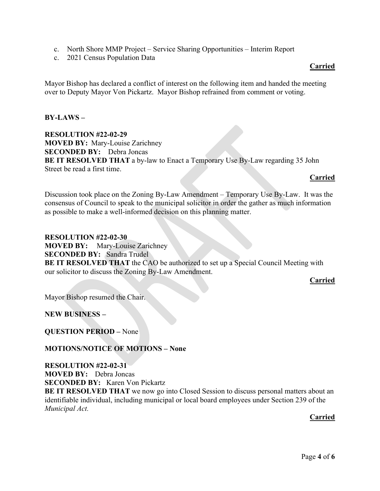- c. North Shore MMP Project Service Sharing Opportunities Interim Report
- c. 2021 Census Population Data

# Carried

Mayor Bishop has declared a conflict of interest on the following item and handed the meeting over to Deputy Mayor Von Pickartz. Mayor Bishop refrained from comment or voting.

BY-LAWS –

RESOLUTION #22-02-29 MOVED BY: Mary-Louise Zarichney SECONDED BY: Debra Joncas BE IT RESOLVED THAT a by-law to Enact a Temporary Use By-Law regarding 35 John Street be read a first time.

# Carried

Discussion took place on the Zoning By-Law Amendment – Temporary Use By-Law. It was the consensus of Council to speak to the municipal solicitor in order the gather as much information as possible to make a well-informed decision on this planning matter.

RESOLUTION #22-02-30 MOVED BY: Mary-Louise Zarichney SECONDED BY: Sandra Trudel BE IT RESOLVED THAT the CAO be authorized to set up a Special Council Meeting with our solicitor to discuss the Zoning By-Law Amendment.

# Carried

Mayor Bishop resumed the Chair.

# NEW BUSINESS –

QUESTION PERIOD – None

# MOTIONS/NOTICE OF MOTIONS – None

# RESOLUTION #22-02-31

MOVED BY: Debra Joncas

SECONDED BY: Karen Von Pickartz

BE IT RESOLVED THAT we now go into Closed Session to discuss personal matters about an identifiable individual, including municipal or local board employees under Section 239 of the Municipal Act.

# Carried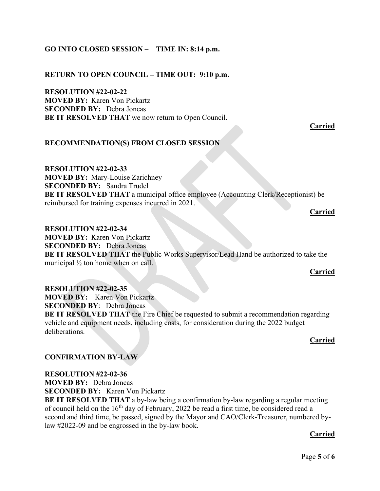# GO INTO CLOSED SESSION – TIME IN: 8:14 p.m.

## RETURN TO OPEN COUNCIL – TIME OUT: 9:10 p.m.

RESOLUTION #22-02-22 MOVED BY: Karen Von Pickartz SECONDED BY: Debra Joncas BE IT RESOLVED THAT we now return to Open Council.

Carried

## RECOMMENDATION(S) FROM CLOSED SESSION

RESOLUTION #22-02-33 MOVED BY: Mary-Louise Zarichney SECONDED BY: Sandra Trudel BE IT RESOLVED THAT a municipal office employee (Accounting Clerk/Receptionist) be reimbursed for training expenses incurred in 2021.

Carried

RESOLUTION #22-02-34 MOVED BY: Karen Von Pickartz SECONDED BY: Debra Joncas BE IT RESOLVED THAT the Public Works Supervisor/Lead Hand be authorized to take the municipal ½ ton home when on call.

#### Carried

RESOLUTION #22-02-35 MOVED BY: Karen Von Pickartz SECONDED BY: Debra Joncas BE IT RESOLVED THAT the Fire Chief be requested to submit a recommendation regarding vehicle and equipment needs, including costs, for consideration during the 2022 budget deliberations.

## **Carried** Carried Carried Carried Carried Carried Carried Carried Carried Carried Carried Carried Carried Carried Carried Carried Carried Carried Carried Carried Carried Carried Carried Carried Carried Carried Carried Carr

## CONFIRMATION BY-LAW

#### RESOLUTION #22-02-36

MOVED BY: Debra Joncas SECONDED BY: Karen Von Pickartz

BE IT RESOLVED THAT a by-law being a confirmation by-law regarding a regular meeting of council held on the  $16<sup>th</sup>$  day of February, 2022 be read a first time, be considered read a second and third time, be passed, signed by the Mayor and CAO/Clerk-Treasurer, numbered bylaw #2022-09 and be engrossed in the by-law book.

# Carried